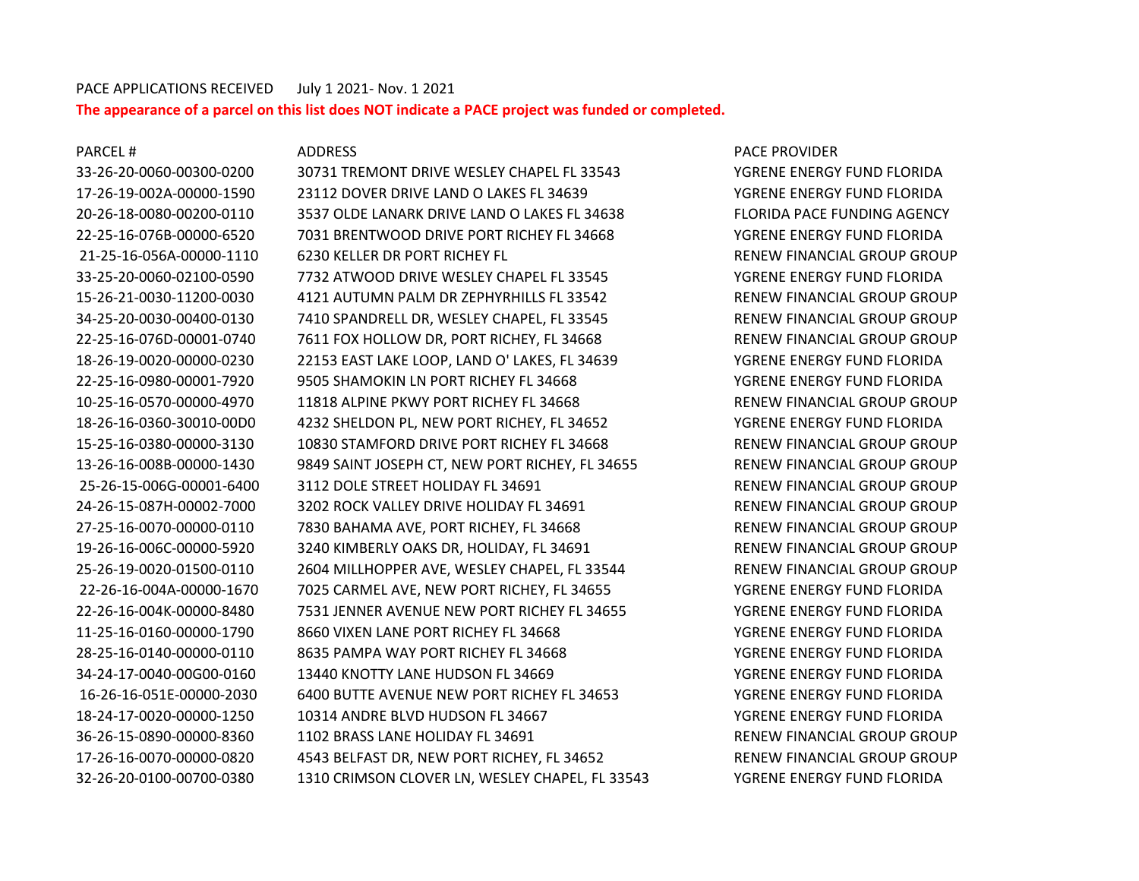## PACE APPLICATIONS RECEIVED July 1 2021- Nov. 1 2021 **The appearance of a parcel on this list does NOT indicate a PACE project was funded or completed.**

32-26-20-0100-00700-0380 1310 CRIMSON CLOVER LN, WESLEY CHAPEL, FL 33543 YGRENE ENERGY FUND FLORIDA

33-26-20-0060-00300-0200 30731 TREMONT DRIVE WESLEY CHAPEL FL 33543 YGRENE ENERGY FUND FLORIDA 17-26-19-002A-00000-1590 23112 DOVER DRIVE LAND O LAKES FL 34639 YGRENE ENERGY FUND FLORIDA 20-26-18-0080-00200-0110 3537 OLDE LANARK DRIVE LAND O LAKES FL 34638 FLORIDA PACE FUNDING AGENCY 22-25-16-076B-00000-6520 7031 BRENTWOOD DRIVE PORT RICHEY FL 34668 YGRENE ENERGY FUND FLORIDA 21-25-16-056A-00000-1110 6230 KELLER DR PORT RICHEY FL RENEW FINANCIAL GROUP GROUP 33-25-20-0060-02100-0590 7732 ATWOOD DRIVE WESLEY CHAPEL FL 33545 YGRENE ENERGY FUND FLORIDA 15-26-21-0030-11200-0030 4121 AUTUMN PALM DR ZEPHYRHILLS FL 33542 RENEW FINANCIAL GROUP GROUP 34-25-20-0030-00400-0130 7410 SPANDRELL DR, WESLEY CHAPEL, FL 33545 RENEW FINANCIAL GROUP GROUP 22-25-16-076D-00001-0740 7611 FOX HOLLOW DR, PORT RICHEY, FL 34668 RENEW FINANCIAL GROUP GROUP 18-26-19-0020-00000-0230 22153 EAST LAKE LOOP, LAND O' LAKES, FL 34639 YGRENE ENERGY FUND FLORIDA 22-25-16-0980-00001-7920 9505 SHAMOKIN LN PORT RICHEY FL 34668 YGRENE ENERGY FUND FLORIDA 10-25-16-0570-00000-4970 11818 ALPINE PKWY PORT RICHEY FL 34668 RENEW FINANCIAL GROUP GROUP 18-26-16-0360-30010-00D0 4232 SHELDON PL, NEW PORT RICHEY, FL 34652 YGRENE ENERGY FUND FLORIDA 15-25-16-0380-00000-3130 10830 STAMFORD DRIVE PORT RICHEY FL 34668 RENEW FINANCIAL GROUP GROUP 13-26-16-008B-00000-1430 9849 SAINT JOSEPH CT, NEW PORT RICHEY, FL 34655 RENEW FINANCIAL GROUP GROUP 25-26-15-006G-00001-6400 3112 DOLE STREET HOLIDAY FL 34691 RENEW FINANCIAL GROUP GROUP 24-26-15-087H-00002-7000 3202 ROCK VALLEY DRIVE HOLIDAY FL 34691 RENEW FINANCIAL GROUP GROUP 27-25-16-0070-00000-0110 7830 BAHAMA AVE, PORT RICHEY, FL 34668 RENEW FINANCIAL GROUP GROUP 19-26-16-006C-00000-5920 3240 KIMBERLY OAKS DR, HOLIDAY, FL 34691 RENEW FINANCIAL GROUP GROUP 25-26-19-0020-01500-0110 2604 MILLHOPPER AVE, WESLEY CHAPEL, FL 33544 RENEW FINANCIAL GROUP GROUP 22-26-16-004A-00000-1670 7025 CARMEL AVE, NEW PORT RICHEY, FL 34655 YGRENE ENERGY FUND FLORIDA 22-26-16-004K-00000-8480 7531 JENNER AVENUE NEW PORT RICHEY FL 34655 YGRENE ENERGY FUND FLORIDA 11-25-16-0160-00000-1790 8660 VIXEN LANE PORT RICHEY FL 34668 YGRENE ENERGY FUND FLORIDA 28-25-16-0140-00000-0110 8635 PAMPA WAY PORT RICHEY FL 34668 YGRENE ENERGY FUND FLORIDA 34-24-17-0040-00G00-0160 13440 KNOTTY LANE HUDSON FL 34669 YGRENE ENERGY FUND FLORIDA 16-26-16-051E-00000-2030 6400 BUTTE AVENUE NEW PORT RICHEY FL 34653 YGRENE ENERGY FUND FLORIDA 18-24-17-0020-00000-1250 10314 ANDRE BLVD HUDSON FL 34667 YGRENE ENERGY FUND FLORIDA 36-26-15-0890-00000-8360 1102 BRASS LANE HOLIDAY FL 34691 RENEW FINANCIAL GROUP GROUP 17-26-16-0070-00000-0820 4543 BELFAST DR, NEW PORT RICHEY, FL 34652 RENEW FINANCIAL GROUP GROUP

PARCEL # ADDRESS ADDRESS PARCE PROVIDER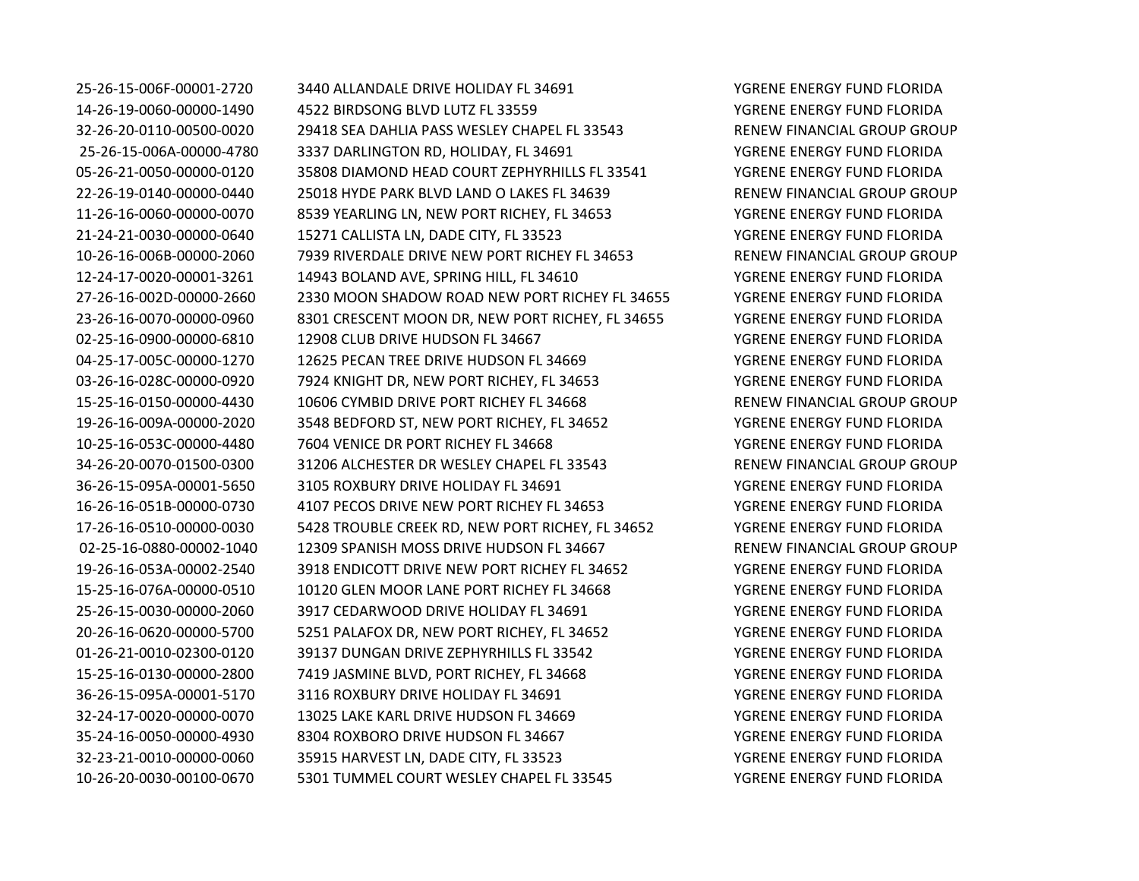25-26-15-006F-00001-2720 3440 ALLANDALE DRIVE HOLIDAY FL 34691 YGRENE ENERGY FUND FLORIDA 14-26-19-0060-00000-1490 4522 BIRDSONG BLVD LUTZ FL 33559 YGRENE ENERGY FUND FLORIDA 32-26-20-0110-00500-0020 29418 SEA DAHLIA PASS WESLEY CHAPEL FL 33543 RENEW FINANCIAL GROUP GROUP 25-26-15-006A-00000-4780 3337 DARLINGTON RD, HOLIDAY, FL 34691 YGRENE ENERGY FUND FLORIDA 05-26-21-0050-00000-0120 35808 DIAMOND HEAD COURT ZEPHYRHILLS FL 33541 YGRENE ENERGY FUND FLORIDA 22-26-19-0140-00000-0440 25018 HYDE PARK BLVD LAND O LAKES FL 34639 RENEW FINANCIAL GROUP GROUP 11-26-16-0060-00000-0070 8539 YEARLING LN, NEW PORT RICHEY, FL 34653 YGRENE ENERGY FUND FLORIDA 21-24-21-0030-00000-0640 15271 CALLISTA LN, DADE CITY, FL 33523 YGRENE ENERGY FUND FLORIDA 10-26-16-006B-00000-2060 7939 RIVERDALE DRIVE NEW PORT RICHEY FL 34653 RENEW FINANCIAL GROUP GROUP 12-24-17-0020-00001-3261 14943 BOLAND AVE, SPRING HILL, FL 34610 YGRENE ENERGY FUND FLORIDA 27-26-16-002D-00000-2660 2330 MOON SHADOW ROAD NEW PORT RICHEY FL 34655 YGRENE ENERGY FUND FLORIDA 23-26-16-0070-00000-0960 8301 CRESCENT MOON DR, NEW PORT RICHEY, FL 34655 YGRENE ENERGY FUND FLORIDA 02-25-16-0900-00000-6810 12908 CLUB DRIVE HUDSON FL 34667 YGRENE ENERGY FUND FLORIDA 04-25-17-005C-00000-1270 12625 PECAN TREE DRIVE HUDSON FL 34669 YGRENE ENERGY FUND FLORIDA 03-26-16-028C-00000-0920 7924 KNIGHT DR, NEW PORT RICHEY, FL 34653 YGRENE ENERGY FUND FLORIDA 15-25-16-0150-00000-4430 10606 CYMBID DRIVE PORT RICHEY FL 34668 RENEW FINANCIAL GROUP GROUP 19-26-16-009A-00000-2020 3548 BEDFORD ST, NEW PORT RICHEY, FL 34652 YGRENE ENERGY FUND FLORIDA 10-25-16-053C-00000-4480 7604 VENICE DR PORT RICHEY FL 34668 YGRENE ENERGY FUND FLORIDA 34-26-20-0070-01500-0300 31206 ALCHESTER DR WESLEY CHAPEL FL 33543 RENEW FINANCIAL GROUP GROUP 36-26-15-095A-00001-5650 3105 ROXBURY DRIVE HOLIDAY FL 34691 YGRENE ENERGY FUND FLORIDA 16-26-16-051B-00000-0730 4107 PECOS DRIVE NEW PORT RICHEY FL 34653 YGRENE ENERGY FUND FLORIDA 17-26-16-0510-00000-0030 5428 TROUBLE CREEK RD, NEW PORT RICHEY, FL 34652 YGRENE ENERGY FUND FLORIDA 02-25-16-0880-00002-1040 12309 SPANISH MOSS DRIVE HUDSON FL 34667 RENEW FINANCIAL GROUP GROUP 19-26-16-053A-00002-2540 3918 ENDICOTT DRIVE NEW PORT RICHEY FL 34652 YGRENE ENERGY FUND FLORIDA 15-25-16-076A-00000-0510 10120 GLEN MOOR LANE PORT RICHEY FL 34668 YGRENE ENERGY FUND FLORIDA 25-26-15-0030-00000-2060 3917 CEDARWOOD DRIVE HOLIDAY FL 34691 YGRENE ENERGY FUND FLORIDA 20-26-16-0620-00000-5700 5251 PALAFOX DR, NEW PORT RICHEY, FL 34652 YGRENE ENERGY FUND FLORIDA 01-26-21-0010-02300-0120 39137 DUNGAN DRIVE ZEPHYRHILLS FL 33542 YGRENE ENERGY FUND FLORIDA 15-25-16-0130-00000-2800 7419 JASMINE BLVD, PORT RICHEY, FL 34668 YGRENE ENERGY FUND FLORIDA 36-26-15-095A-00001-5170 3116 ROXBURY DRIVE HOLIDAY FL 34691 YGRENE ENERGY FUND FLORIDA 32-24-17-0020-00000-0070 13025 LAKE KARL DRIVE HUDSON FL 34669 YGRENE ENERGY FUND FLORIDA 35-24-16-0050-00000-4930 8304 ROXBORO DRIVE HUDSON FL 34667 YGRENE ENERGY FUND FLORIDA 32-23-21-0010-00000-0060 35915 HARVEST LN, DADE CITY, FL 33523 YGRENE ENERGY FUND FLORIDA 10-26-20-0030-00100-0670 5301 TUMMEL COURT WESLEY CHAPEL FL 33545 YGRENE ENERGY FUND FLORIDA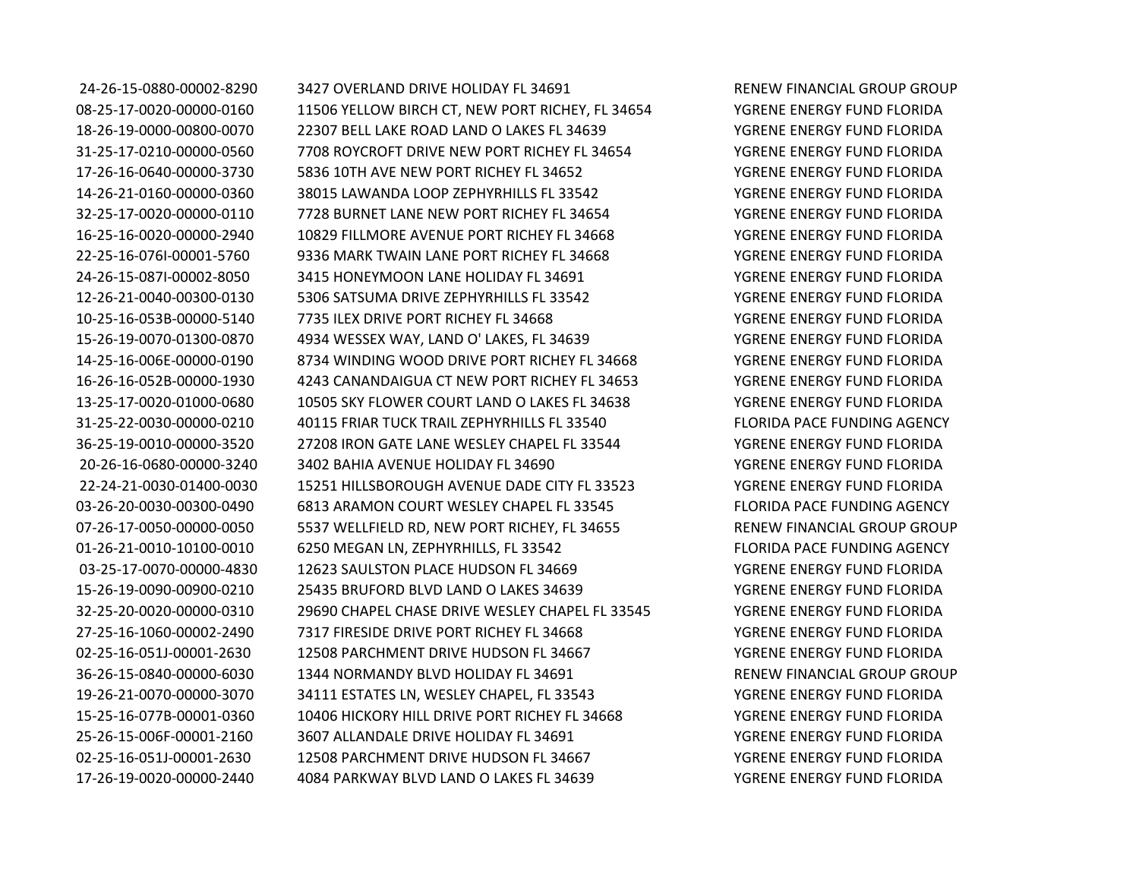24-26-15-0880-00002-8290 3427 OVERLAND DRIVE HOLIDAY FL 34691 RENEW FINANCIAL GROUP GROUP 08-25-17-0020-00000-0160 11506 YELLOW BIRCH CT, NEW PORT RICHEY, FL 34654 YGRENE ENERGY FUND FLORIDA 18-26-19-0000-00800-0070 22307 BELL LAKE ROAD LAND O LAKES FL 34639 YGRENE ENERGY FUND FLORIDA 31-25-17-0210-00000-0560 7708 ROYCROFT DRIVE NEW PORT RICHEY FL 34654 YGRENE ENERGY FUND FLORIDA 17-26-16-0640-00000-3730 5836 10TH AVE NEW PORT RICHEY FL 34652 YGRENE ENERGY FUND FLORIDA 14-26-21-0160-00000-0360 38015 LAWANDA LOOP ZEPHYRHILLS FL 33542 YGRENE ENERGY FUND FLORIDA 32-25-17-0020-00000-0110 7728 BURNET LANE NEW PORT RICHEY FL 34654 YGRENE ENERGY FUND FLORIDA 16-25-16-0020-00000-2940 10829 FILLMORE AVENUE PORT RICHEY FL 34668 YGRENE ENERGY FUND FLORIDA 22-25-16-076I-00001-5760 9336 MARK TWAIN LANE PORT RICHEY FL 34668 YGRENE ENERGY FUND FLORIDA 24-26-15-087I-00002-8050 3415 HONEYMOON LANE HOLIDAY FL 34691 YGRENE ENERGY FUND FLORIDA 12-26-21-0040-00300-0130 5306 SATSUMA DRIVE ZEPHYRHILLS FL 33542 YGRENE ENERGY FUND FLORIDA 10-25-16-053B-00000-5140 7735 ILEX DRIVE PORT RICHEY FL 34668 YGRENE ENERGY FUND FLORIDA 15-26-19-0070-01300-0870 4934 WESSEX WAY, LAND O' LAKES, FL 34639 YGRENE ENERGY FUND FLORIDA 14-25-16-006E-00000-0190 8734 WINDING WOOD DRIVE PORT RICHEY FL 34668 YGRENE ENERGY FUND FLORIDA 16-26-16-052B-00000-1930 4243 CANANDAIGUA CT NEW PORT RICHEY FL 34653 YGRENE ENERGY FUND FLORIDA 13-25-17-0020-01000-0680 10505 SKY FLOWER COURT LAND O LAKES FL 34638 YGRENE ENERGY FUND FLORIDA 31-25-22-0030-00000-0210 40115 FRIAR TUCK TRAIL ZEPHYRHILLS FL 33540 FLORIDA PACE FUNDING AGENCY 36-25-19-0010-00000-3520 27208 IRON GATE LANE WESLEY CHAPEL FL 33544 YGRENE ENERGY FUND FLORIDA 20-26-16-0680-00000-3240 3402 BAHIA AVENUE HOLIDAY FL 34690 YGRENE ENERGY FUND FLORIDA 22-24-21-0030-01400-0030 15251 HILLSBOROUGH AVENUE DADE CITY FL 33523 YGRENE ENERGY FUND FLORIDA 03-26-20-0030-00300-0490 6813 ARAMON COURT WESLEY CHAPEL FL 33545 FLORIDA PACE FUNDING AGENCY 07-26-17-0050-00000-0050 5537 WELLFIELD RD, NEW PORT RICHEY, FL 34655 RENEW FINANCIAL GROUP GROUP 01-26-21-0010-10100-0010 6250 MEGAN LN, ZEPHYRHILLS, FL 33542 FLORIDA PACE FUNDING AGENCY 03-25-17-0070-00000-4830 12623 SAULSTON PLACE HUDSON FL 34669 YGRENE ENERGY FUND FLORIDA 15-26-19-0090-00900-0210 25435 BRUFORD BLVD LAND O LAKES 34639 YGRENE ENERGY FUND FLORIDA 32-25-20-0020-00000-0310 29690 CHAPEL CHASE DRIVE WESLEY CHAPEL FL 33545 YGRENE ENERGY FUND FLORIDA 27-25-16-1060-00002-2490 7317 FIRESIDE DRIVE PORT RICHEY FL 34668 YGRENE ENERGY FUND FLORIDA 02-25-16-051J-00001-2630 12508 PARCHMENT DRIVE HUDSON FL 34667 YGRENE ENERGY FUND FLORIDA 36-26-15-0840-00000-6030 1344 NORMANDY BLVD HOLIDAY FL 34691 RENEW FINANCIAL GROUP GROUP 19-26-21-0070-00000-3070 34111 ESTATES LN, WESLEY CHAPEL, FL 33543 YGRENE ENERGY FUND FLORIDA 15-25-16-077B-00001-0360 10406 HICKORY HILL DRIVE PORT RICHEY FL 34668 YGRENE ENERGY FUND FLORIDA 25-26-15-006F-00001-2160 3607 ALLANDALE DRIVE HOLIDAY FL 34691 YGRENE ENERGY FUND FLORIDA 02-25-16-051J-00001-2630 12508 PARCHMENT DRIVE HUDSON FL 34667 YGRENE ENERGY FUND FLORIDA 17-26-19-0020-00000-2440 4084 PARKWAY BLVD LAND O LAKES FL 34639 YGRENE ENERGY FUND FLORIDA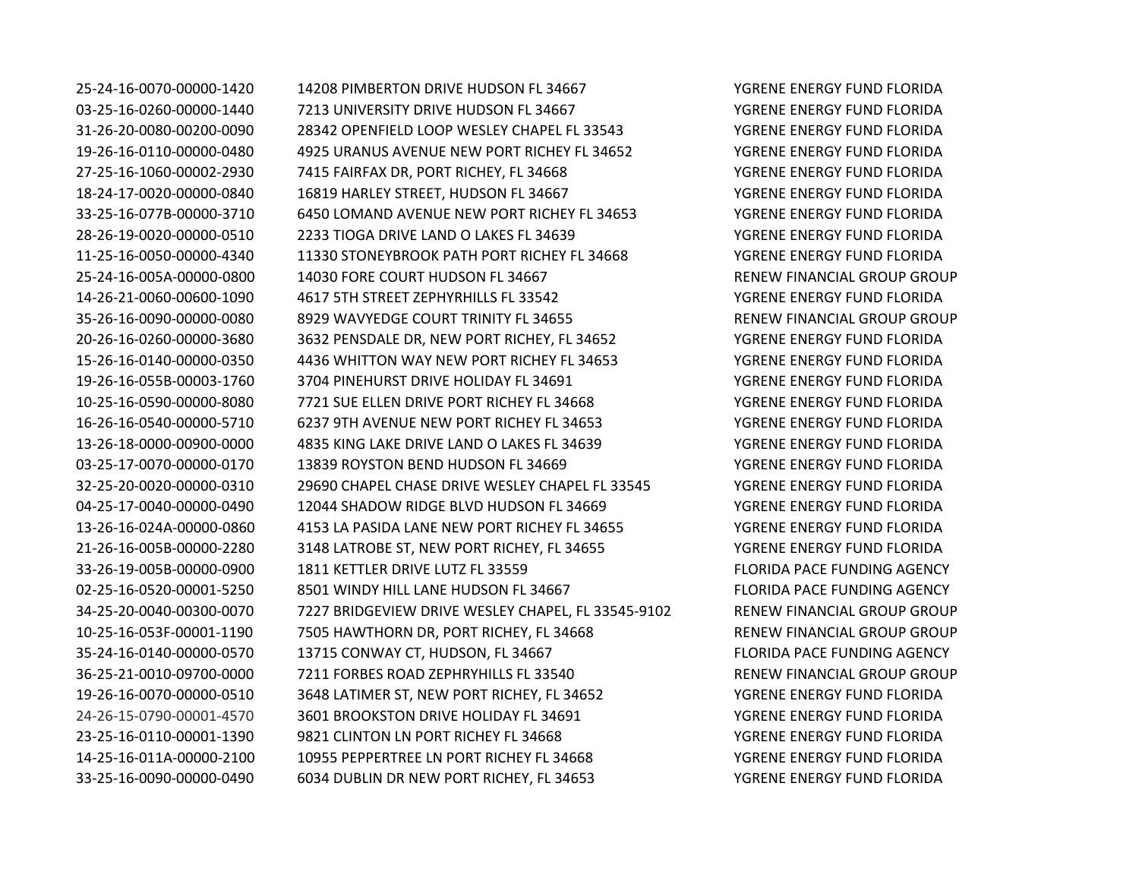25-24-16-0070-00000-1420 14208 PIMBERTON DRIVE HUDSON FL 34667 YGRENE ENERGY FUND FLORIDA 03-25-16-0260-00000-1440 7213 UNIVERSITY DRIVE HUDSON FL 34667 YGRENE ENERGY FUND FLORIDA 31-26-20-0080-00200-0090 28342 OPENFIELD LOOP WESLEY CHAPEL FL 33543 YGRENE ENERGY FUND FLORIDA 19-26-16-0110-00000-0480 4925 URANUS AVENUE NEW PORT RICHEY FL 34652 YGRENE ENERGY FUND FLORIDA 27-25-16-1060-00002-2930 7415 FAIRFAX DR, PORT RICHEY, FL 34668 YGRENE ENERGY FUND FLORIDA 18-24-17-0020-00000-0840 16819 HARLEY STREET, HUDSON FL 34667 YGRENE ENERGY FUND FLORIDA 33-25-16-077B-00000-3710 6450 LOMAND AVENUE NEW PORT RICHEY FL 34653 YGRENE ENERGY FUND FLORIDA 28-26-19-0020-00000-0510 2233 TIOGA DRIVE LAND O LAKES FL 34639 YGRENE ENERGY FUND FLORIDA 11-25-16-0050-00000-4340 11330 STONEYBROOK PATH PORT RICHEY FL 34668 YGRENE ENERGY FUND FLORIDA 25-24-16-005A-00000-0800 14030 FORE COURT HUDSON FL 34667 RENEW FINANCIAL GROUP GROUP 14-26-21-0060-00600-1090 4617 5TH STREET ZEPHYRHILLS FL 33542 YGRENE ENERGY FUND FLORIDA 35-26-16-0090-00000-0080 8929 WAVYEDGE COURT TRINITY FL 34655 RENEW FINANCIAL GROUP GROUP 20-26-16-0260-00000-3680 3632 PENSDALE DR, NEW PORT RICHEY, FL 34652 YGRENE ENERGY FUND FLORIDA 15-26-16-0140-00000-0350 4436 WHITTON WAY NEW PORT RICHEY FL 34653 YGRENE ENERGY FUND FLORIDA 19-26-16-055B-00003-1760 3704 PINEHURST DRIVE HOLIDAY FL 34691 YGRENE ENERGY FUND FLORIDA 10-25-16-0590-00000-8080 7721 SUE ELLEN DRIVE PORT RICHEY FL 34668 YGRENE ENERGY FUND FLORIDA 16-26-16-0540-00000-5710 6237 9TH AVENUE NEW PORT RICHEY FL 34653 YGRENE ENERGY FUND FLORIDA 13-26-18-0000-00900-0000 4835 KING LAKE DRIVE LAND O LAKES FL 34639 YGRENE ENERGY FUND FLORIDA 03-25-17-0070-00000-0170 13839 ROYSTON BEND HUDSON FL 34669 YGRENE ENERGY FUND FLORIDA 32-25-20-0020-00000-0310 29690 CHAPEL CHASE DRIVE WESLEY CHAPEL FL 33545 YGRENE ENERGY FUND FLORIDA 04-25-17-0040-00000-0490 12044 SHADOW RIDGE BLVD HUDSON FL 34669 YGRENE ENERGY FUND FLORIDA 13-26-16-024A-00000-0860 4153 LA PASIDA LANE NEW PORT RICHEY FL 34655 YGRENE ENERGY FUND FLORIDA 21-26-16-005B-00000-2280 3148 LATROBE ST, NEW PORT RICHEY, FL 34655 YGRENE ENERGY FUND FLORIDA 33-26-19-005B-00000-0900 1811 KETTLER DRIVE LUTZ FL 33559 FLORIDA PACE FUNDING AGENCY 02-25-16-0520-00001-5250 8501 WINDY HILL LANE HUDSON FL 34667 FLORIDA PACE FUNDING AGENCY 34-25-20-0040-00300-0070 7227 BRIDGEVIEW DRIVE WESLEY CHAPEL, FL 33545-9102 RENEW FINANCIAL GROUP GROUP 10-25-16-053F-00001-1190 7505 HAWTHORN DR, PORT RICHEY, FL 34668 RENEW FINANCIAL GROUP GROUP 35-24-16-0140-00000-0570 13715 CONWAY CT, HUDSON, FL 34667 FLORIDA PACE FUNDING AGENCY 36-25-21-0010-09700-0000 7211 FORBES ROAD ZEPHRYHILLS FL 33540 RENEW FINANCIAL GROUP GROUP 19-26-16-0070-00000-0510 3648 LATIMER ST, NEW PORT RICHEY, FL 34652 YGRENE ENERGY FUND FLORIDA 24-26-15-0790-00001-4570 3601 BROOKSTON DRIVE HOLIDAY FL 34691 YGRENE ENERGY FUND FLORIDA 23-25-16-0110-00001-1390 9821 CLINTON LN PORT RICHEY FL 34668 YGRENE ENERGY FUND FLORIDA 14-25-16-011A-00000-2100 10955 PEPPERTREE LN PORT RICHEY FL 34668 YGRENE ENERGY FUND FLORIDA 33-25-16-0090-00000-0490 6034 DUBLIN DR NEW PORT RICHEY, FL 34653 YGRENE ENERGY FUND FLORIDA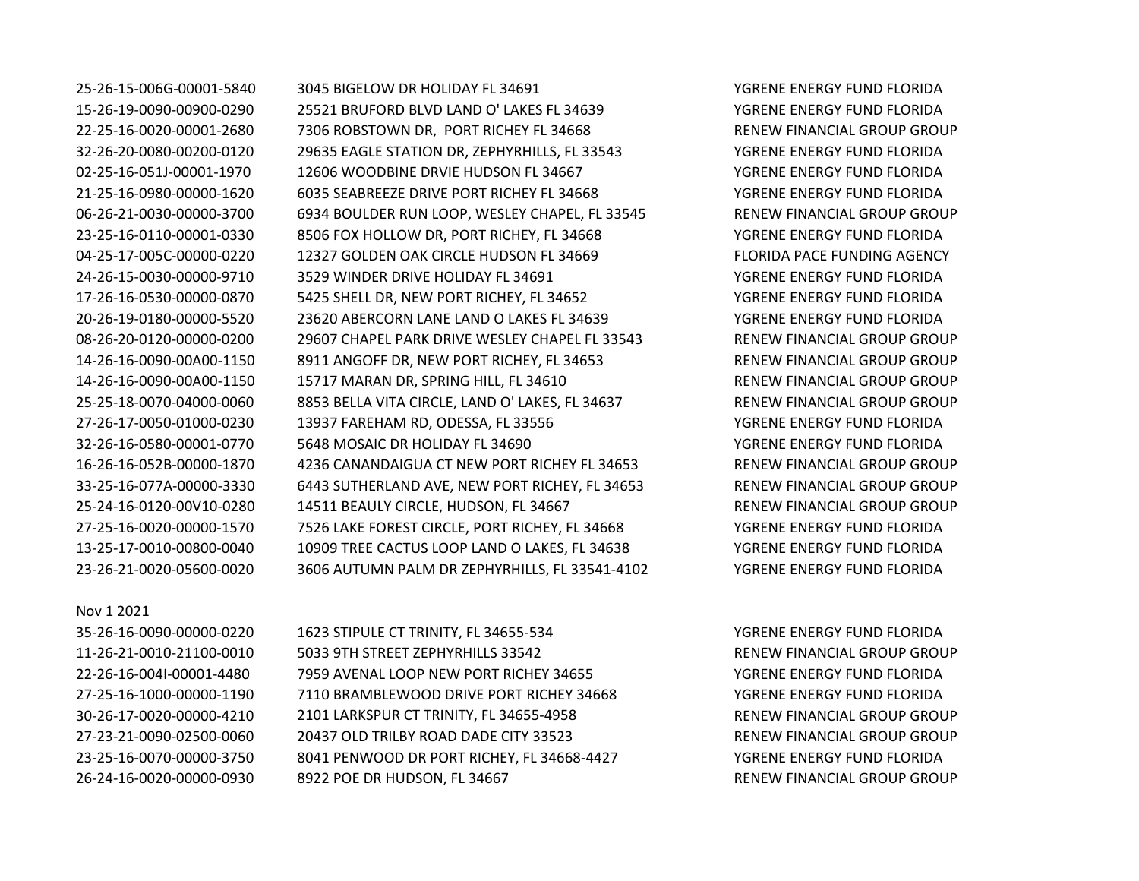## Nov 1 2021

25-26-15-006G-00001-5840 3045 BIGELOW DR HOLIDAY FL 34691 YGRENE ENERGY FUND FLORIDA 15-26-19-0090-00900-0290 25521 BRUFORD BLVD LAND O' LAKES FL 34639 YGRENE ENERGY FUND FLORIDA 22-25-16-0020-00001-2680 7306 ROBSTOWN DR, PORT RICHEY FL 34668 RENEW FINANCIAL GROUP GROUP 32-26-20-0080-00200-0120 29635 EAGLE STATION DR, ZEPHYRHILLS, FL 33543 YGRENE ENERGY FUND FLORIDA 02-25-16-051J-00001-1970 12606 WOODBINE DRVIE HUDSON FL 34667 YGRENE ENERGY FUND FLORIDA 21-25-16-0980-00000-1620 6035 SEABREEZE DRIVE PORT RICHEY FL 34668 YGRENE ENERGY FUND FLORIDA 06-26-21-0030-00000-3700 6934 BOULDER RUN LOOP, WESLEY CHAPEL, FL 33545 RENEW FINANCIAL GROUP GROUP 23-25-16-0110-00001-0330 8506 FOX HOLLOW DR, PORT RICHEY, FL 34668 YGRENE ENERGY FUND FLORIDA 04-25-17-005C-00000-0220 12327 GOLDEN OAK CIRCLE HUDSON FL 34669 FLORIDA PACE FUNDING AGENCY 24-26-15-0030-00000-9710 3529 WINDER DRIVE HOLIDAY FL 34691 YGRENE ENERGY FUND FLORIDA 17-26-16-0530-00000-0870 5425 SHELL DR, NEW PORT RICHEY, FL 34652 YGRENE ENERGY FUND FLORIDA 20-26-19-0180-00000-5520 23620 ABERCORN LANE LAND O LAKES FL 34639 YGRENE ENERGY FUND FLORIDA 08-26-20-0120-00000-0200 29607 CHAPEL PARK DRIVE WESLEY CHAPEL FL 33543 RENEW FINANCIAL GROUP GROUP 14-26-16-0090-00A00-1150 8911 ANGOFF DR, NEW PORT RICHEY, FL 34653 RENEW FINANCIAL GROUP GROUP 14-26-16-0090-00A00-1150 15717 MARAN DR, SPRING HILL, FL 34610 RENEW FINANCIAL GROUP GROUP 25-25-18-0070-04000-0060 8853 BELLA VITA CIRCLE, LAND O' LAKES, FL 34637 RENEW FINANCIAL GROUP GROUP 27-26-17-0050-01000-0230 13937 FAREHAM RD, ODESSA, FL 33556 YGRENE ENERGY FUND FLORIDA 32-26-16-0580-00001-0770 5648 MOSAIC DR HOLIDAY FL 34690 YGRENE ENERGY FUND FLORIDA 16-26-16-052B-00000-1870 4236 CANANDAIGUA CT NEW PORT RICHEY FL 34653 RENEW FINANCIAL GROUP GROUP 33-25-16-077A-00000-3330 6443 SUTHERLAND AVE, NEW PORT RICHEY, FL 34653 RENEW FINANCIAL GROUP GROUP 25-24-16-0120-00V10-0280 14511 BEAULY CIRCLE, HUDSON, FL 34667 RENEW FINANCIAL GROUP GROUP 27-25-16-0020-00000-1570 7526 LAKE FOREST CIRCLE, PORT RICHEY, FL 34668 YGRENE ENERGY FUND FLORIDA 13-25-17-0010-00800-0040 10909 TREE CACTUS LOOP LAND O LAKES, FL 34638 YGRENE ENERGY FUND FLORIDA 23-26-21-0020-05600-0020 3606 AUTUMN PALM DR ZEPHYRHILLS, FL 33541-4102 YGRENE ENERGY FUND FLORIDA

35-26-16-0090-00000-0220 1623 STIPULE CT TRINITY, FL 34655-534 YGRENE ENERGY FUND FLORIDA 11-26-21-0010-21100-0010 5033 9TH STREET ZEPHYRHILLS 33542 RENEW FINANCIAL GROUP GROUP 22-26-16-004I-00001-4480 7959 AVENAL LOOP NEW PORT RICHEY 34655 YGRENE ENERGY FUND FLORIDA 27-25-16-1000-00000-1190 7110 BRAMBLEWOOD DRIVE PORT RICHEY 34668 YGRENE ENERGY FUND FLORIDA 30-26-17-0020-00000-4210 2101 LARKSPUR CT TRINITY, FL 34655-4958 RENEW FINANCIAL GROUP GROUP 27-23-21-0090-02500-0060 20437 OLD TRILBY ROAD DADE CITY 33523 RENEW FINANCIAL GROUP GROUP 23-25-16-0070-00000-3750 8041 PENWOOD DR PORT RICHEY, FL 34668-4427 YGRENE ENERGY FUND FLORIDA 26-24-16-0020-00000-0930 8922 POE DR HUDSON, FL 34667 RENEW FINANCIAL GROUP GROUP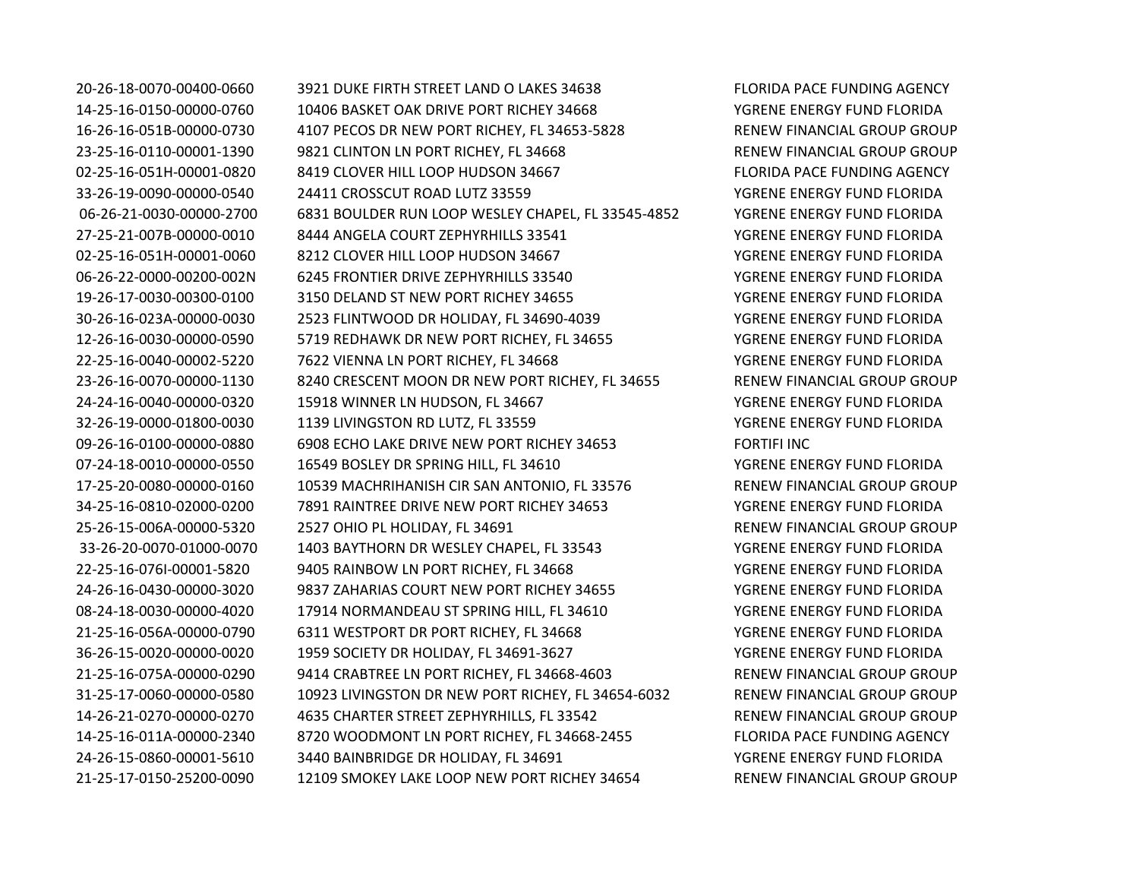20-26-18-0070-00400-0660 3921 DUKE FIRTH STREET LAND O LAKES 34638 FLORIDA PACE FUNDING AGENCY 14-25-16-0150-00000-0760 10406 BASKET OAK DRIVE PORT RICHEY 34668 YEAR YGRENE ENERGY FUND FLORIDA 16-26-16-051B-00000-0730 4107 PECOS DR NEW PORT RICHEY, FL 34653-5828 RENEW FINANCIAL GROUP GROUP 23-25-16-0110-00001-1390 9821 CLINTON LN PORT RICHEY, FL 34668 RENEW FINANCIAL GROUP GROUP 02-25-16-051H-00001-0820 8419 CLOVER HILL LOOP HUDSON 34667 FLORIDA PACE FUNDING AGENCY 33-26-19-0090-00000-0540 24411 CROSSCUT ROAD LUTZ 33559 YGRENE ENERGY FUND FLORIDA 06-26-21-0030-00000-2700 6831 BOULDER RUN LOOP WESLEY CHAPEL, FL 33545-4852 YGRENE ENERGY FUND FLORIDA 27-25-21-007B-00000-0010 8444 ANGELA COURT ZEPHYRHILLS 33541 YGRENE ENERGY FUND FLORIDA 02-25-16-051H-00001-0060 8212 CLOVER HILL LOOP HUDSON 34667 YGRENE ENERGY FUND FLORIDA 06-26-22-0000-00200-002N 6245 FRONTIER DRIVE ZEPHYRHILLS 33540 YGRENE ENERGY FUND FLORIDA 19-26-17-0030-00300-0100 3150 DELAND ST NEW PORT RICHEY 34655 YGRENE ENERGY FUND FLORIDA 30-26-16-023A-00000-0030 2523 FLINTWOOD DR HOLIDAY, FL 34690-4039 YGRENE ENERGY FUND FLORIDA 12-26-16-0030-00000-0590 5719 REDHAWK DR NEW PORT RICHEY, FL 34655 YGRENE ENERGY FUND FLORIDA 22-25-16-0040-00002-5220 7622 VIENNA LN PORT RICHEY, FL 34668 YGRENE ENERGY FUND FLORIDA 23-26-16-0070-00000-1130 8240 CRESCENT MOON DR NEW PORT RICHEY, FL 34655 RENEW FINANCIAL GROUP GROUP 24-24-16-0040-00000-0320 15918 WINNER LN HUDSON, FL 34667 YGRENE ENERGY FUND FLORIDA 32-26-19-0000-01800-0030 1139 LIVINGSTON RD LUTZ, FL 33559 YGRENE ENERGY FUND FLORIDA 09-26-16-0100-00000-0880 6908 ECHO LAKE DRIVE NEW PORT RICHEY 34653 FORTIFI INC 07-24-18-0010-00000-0550 16549 BOSLEY DR SPRING HILL, FL 34610 YGRENE ENERGY FUND FLORIDA 17-25-20-0080-00000-0160 10539 MACHRIHANISH CIR SAN ANTONIO, FL 33576 RENEW FINANCIAL GROUP GROUP 34-25-16-0810-02000-0200 7891 RAINTREE DRIVE NEW PORT RICHEY 34653 YGRENE ENERGY FUND FLORIDA 25-26-15-006A-00000-5320 2527 OHIO PL HOLIDAY, FL 34691 RENEW FINANCIAL GROUP GROUP 33-26-20-0070-01000-0070 1403 BAYTHORN DR WESLEY CHAPEL, FL 33543 YGRENE ENERGY FUND FLORIDA 22-25-16-076I-00001-5820 9405 RAINBOW LN PORT RICHEY, FL 34668 YGRENE ENERGY FUND FLORIDA 24-26-16-0430-00000-3020 9837 ZAHARIAS COURT NEW PORT RICHEY 34655 YGRENE ENERGY FUND FLORIDA 08-24-18-0030-00000-4020 17914 NORMANDEAU ST SPRING HILL, FL 34610 YGRENE ENERGY FUND FLORIDA 21-25-16-056A-00000-0790 6311 WESTPORT DR PORT RICHEY, FL 34668 YGRENE ENERGY FUND FLORIDA 36-26-15-0020-00000-0020 1959 SOCIETY DR HOLIDAY, FL 34691-3627 YGRENE ENERGY FUND FLORIDA 21-25-16-075A-00000-0290 9414 CRABTREE LN PORT RICHEY, FL 34668-4603 RENEW FINANCIAL GROUP GROUP 31-25-17-0060-00000-0580 10923 LIVINGSTON DR NEW PORT RICHEY, FL 34654-6032 RENEW FINANCIAL GROUP GROUP 14-26-21-0270-00000-0270 4635 CHARTER STREET ZEPHYRHILLS, FL 33542 RENEW FINANCIAL GROUP GROUP 14-25-16-011A-00000-2340 8720 WOODMONT LN PORT RICHEY, FL 34668-2455 FLORIDA PACE FUNDING AGENCY 24-26-15-0860-00001-5610 3440 BAINBRIDGE DR HOLIDAY, FL 34691 YGRENE ENERGY FUND FLORIDA 21-25-17-0150-25200-0090 12109 SMOKEY LAKE LOOP NEW PORT RICHEY 34654 RENEW FINANCIAL GROUP GROUP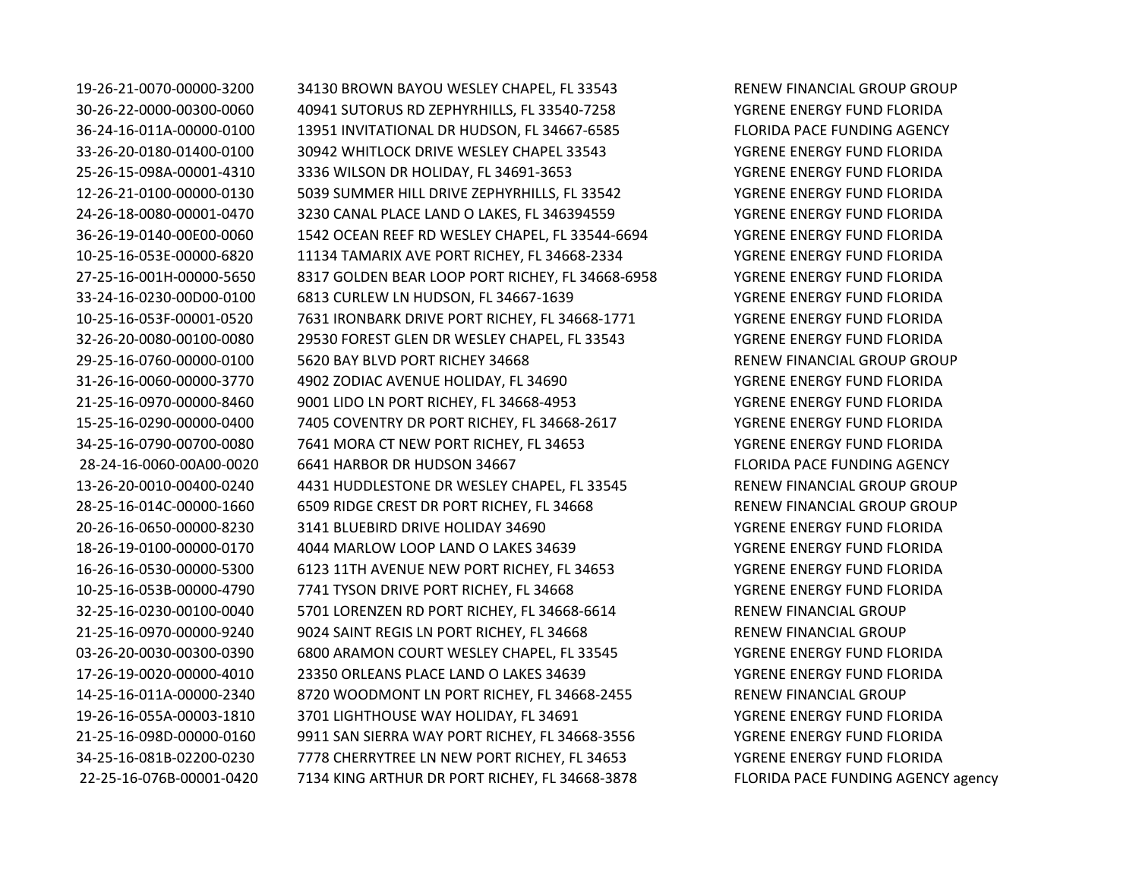19-26-21-0070-00000-3200 34130 BROWN BAYOU WESLEY CHAPEL, FL 33543 RENEW FINANCIAL GROUP GROUP 30-26-22-0000-00300-0060 40941 SUTORUS RD ZEPHYRHILLS, FL 33540-7258 YGRENE ENERGY FUND FLORIDA 36-24-16-011A-00000-0100 13951 INVITATIONAL DR HUDSON, FL 34667-6585 FLORIDA PACE FUNDING AGENCY 33-26-20-0180-01400-0100 30942 WHITLOCK DRIVE WESLEY CHAPEL 33543 YGRENE ENERGY FUND FLORIDA 25-26-15-098A-00001-4310 3336 WILSON DR HOLIDAY, FL 34691-3653 YGRENE ENERGY FUND FLORIDA 12-26-21-0100-00000-0130 5039 SUMMER HILL DRIVE ZEPHYRHILLS, FL 33542 YGRENE ENERGY FUND FLORIDA 24-26-18-0080-00001-0470 3230 CANAL PLACE LAND O LAKES, FL 346394559 YGRENE ENERGY FUND FLORIDA 36-26-19-0140-00E00-0060 1542 OCEAN REEF RD WESLEY CHAPEL, FL 33544-6694 YGRENE ENERGY FUND FLORIDA 10-25-16-053E-00000-6820 11134 TAMARIX AVE PORT RICHEY, FL 34668-2334 YGRENE ENERGY FUND FLORIDA 27-25-16-001H-00000-5650 8317 GOLDEN BEAR LOOP PORT RICHEY, FL 34668-6958 YGRENE ENERGY FUND FLORIDA 33-24-16-0230-00D00-0100 6813 CURLEW LN HUDSON, FL 34667-1639 YGRENE ENERGY FUND FLORIDA 10-25-16-053F-00001-0520 7631 IRONBARK DRIVE PORT RICHEY, FL 34668-1771 YGRENE ENERGY FUND FLORIDA 32-26-20-0080-00100-0080 29530 FOREST GLEN DR WESLEY CHAPEL, FL 33543 YGRENE ENERGY FUND FLORIDA 29-25-16-0760-00000-0100 5620 BAY BLVD PORT RICHEY 34668 RENEW FINANCIAL GROUP GROUP 31-26-16-0060-00000-3770 4902 ZODIAC AVENUE HOLIDAY, FL 34690 YGRENE ENERGY FUND FLORIDA 21-25-16-0970-00000-8460 9001 LIDO LN PORT RICHEY, FL 34668-4953 YGRENE ENERGY FUND FLORIDA 15-25-16-0290-00000-0400 7405 COVENTRY DR PORT RICHEY, FL 34668-2617 YGRENE ENERGY FUND FLORIDA 34-25-16-0790-00700-0080 7641 MORA CT NEW PORT RICHEY, FL 34653 YGRENE ENERGY FUND FLORIDA 28-24-16-0060-00A00-0020 6641 HARBOR DR HUDSON 34667 FLORIDA PACE FUNDING AGENCY 13-26-20-0010-00400-0240 4431 HUDDLESTONE DR WESLEY CHAPEL, FL 33545 RENEW FINANCIAL GROUP GROUP 28-25-16-014C-00000-1660 6509 RIDGE CREST DR PORT RICHEY, FL 34668 RENEW FINANCIAL GROUP GROUP 20-26-16-0650-00000-8230 3141 BLUEBIRD DRIVE HOLIDAY 34690 YGRENE ENERGY FUND FLORIDA 18-26-19-0100-00000-0170 4044 MARLOW LOOP LAND O LAKES 34639 YGRENE ENERGY FUND FLORIDA 16-26-16-0530-00000-5300 6123 11TH AVENUE NEW PORT RICHEY, FL 34653 YGRENE ENERGY FUND FLORIDA 10-25-16-053B-00000-4790 7741 TYSON DRIVE PORT RICHEY, FL 34668 YGRENE ENERGY FUND FLORIDA 32-25-16-0230-00100-0040 5701 LORENZEN RD PORT RICHEY, FL 34668-6614 RENEW FINANCIAL GROUP 21-25-16-0970-00000-9240 9024 SAINT REGIS LN PORT RICHEY, FL 34668 RENEW FINANCIAL GROUP 03-26-20-0030-00300-0390 6800 ARAMON COURT WESLEY CHAPEL, FL 33545 YGRENE ENERGY FUND FLORIDA 17-26-19-0020-00000-4010 23350 ORLEANS PLACE LAND O LAKES 34639 YGRENE ENERGY FUND FLORIDA 14-25-16-011A-00000-2340 8720 WOODMONT LN PORT RICHEY, FL 34668-2455 RENEW FINANCIAL GROUP 19-26-16-055A-00003-1810 3701 LIGHTHOUSE WAY HOLIDAY, FL 34691 YGRENE ENERGY FUND FLORIDA 21-25-16-098D-00000-0160 9911 SAN SIERRA WAY PORT RICHEY, FL 34668-3556 YGRENE ENERGY FUND FLORIDA 34-25-16-081B-02200-0230 7778 CHERRYTREE LN NEW PORT RICHEY, FL 34653 YGRENE ENERGY FUND FLORIDA 22-25-16-076B-00001-0420 7134 KING ARTHUR DR PORT RICHEY, FL 34668-3878 FLORIDA PACE FUNDING AGENCY agency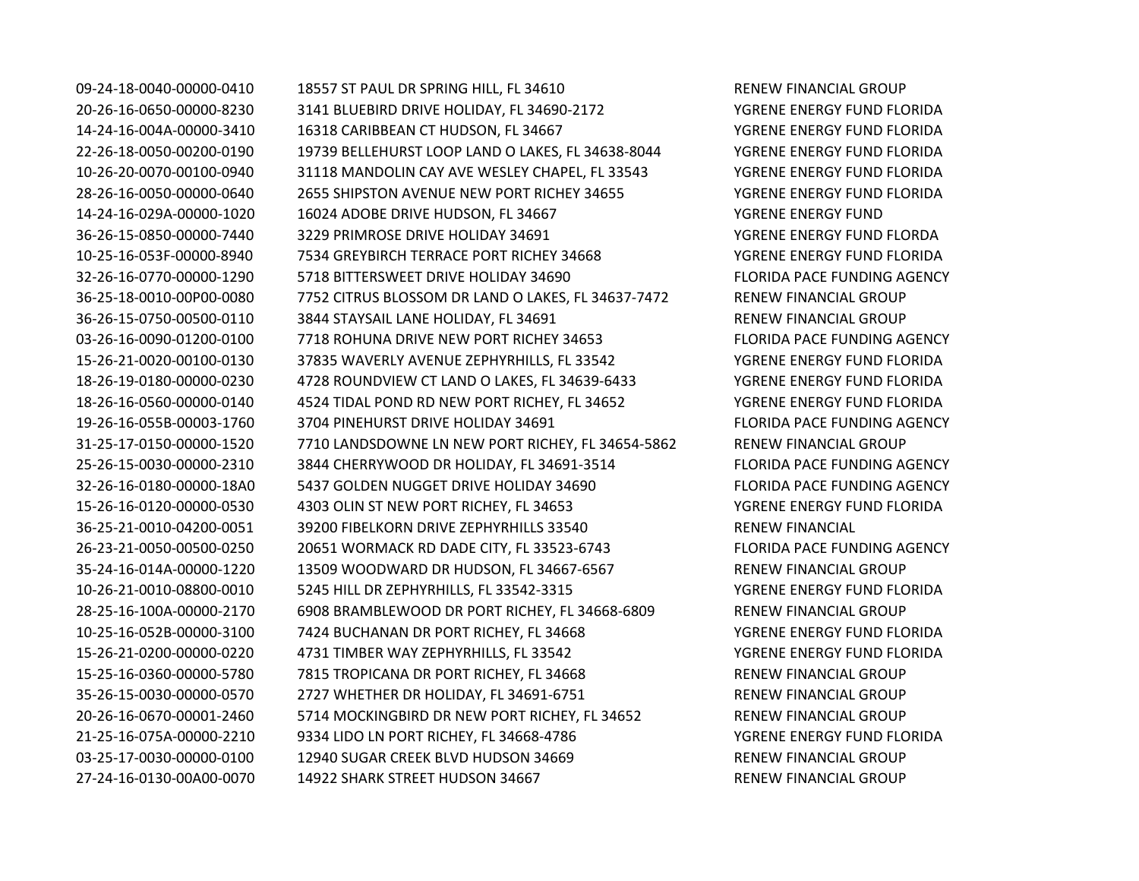09-24-18-0040-00000-0410 18557 ST PAUL DR SPRING HILL, FL 34610 RENEW FINANCIAL GROUP 20-26-16-0650-00000-8230 3141 BLUEBIRD DRIVE HOLIDAY, FL 34690-2172 YGRENE ENERGY FUND FLORIDA 14-24-16-004A-00000-3410 16318 CARIBBEAN CT HUDSON, FL 34667 YGRENE ENERGY FUND FLORIDA 22-26-18-0050-00200-0190 19739 BELLEHURST LOOP LAND O LAKES, FL 34638-8044 YGRENE ENERGY FUND FLORIDA 10-26-20-0070-00100-0940 31118 MANDOLIN CAY AVE WESLEY CHAPEL, FL 33543 YGRENE ENERGY FUND FLORIDA 28-26-16-0050-00000-0640 2655 SHIPSTON AVENUE NEW PORT RICHEY 34655 YGRENE ENERGY FUND FLORIDA 14-24-16-029A-00000-1020 16024 ADOBE DRIVE HUDSON, FL 34667 YGRENE ENERGY FUND 36-26-15-0850-00000-7440 3229 PRIMROSE DRIVE HOLIDAY 34691 YGRENE ENERGY FUND FLORDA 10-25-16-053F-00000-8940 7534 GREYBIRCH TERRACE PORT RICHEY 34668 YGRENE ENERGY FUND FLORIDA 32-26-16-0770-00000-1290 5718 BITTERSWEET DRIVE HOLIDAY 34690 FLORIDA PACE FUNDING AGENCY 36-25-18-0010-00P00-0080 7752 CITRUS BLOSSOM DR LAND O LAKES, FL 34637-7472 RENEW FINANCIAL GROUP 36-26-15-0750-00500-0110 3844 STAYSAIL LANE HOLIDAY, FL 34691 RENEW FINANCIAL GROUP 03-26-16-0090-01200-0100 7718 ROHUNA DRIVE NEW PORT RICHEY 34653 FLORIDA PACE FUNDING AGENCY 15-26-21-0020-00100-0130 37835 WAVERLY AVENUE ZEPHYRHILLS, FL 33542 YGRENE ENERGY FUND FLORIDA 18-26-19-0180-00000-0230 4728 ROUNDVIEW CT LAND O LAKES, FL 34639-6433 YGRENE ENERGY FUND FLORIDA 18-26-16-0560-00000-0140 4524 TIDAL POND RD NEW PORT RICHEY, FL 34652 YGRENE ENERGY FUND FLORIDA 19-26-16-055B-00003-1760 3704 PINEHURST DRIVE HOLIDAY 34691 FLORIDA PACE FUNDING AGENCY 31-25-17-0150-00000-1520 7710 LANDSDOWNE LN NEW PORT RICHEY, FL 34654-5862 RENEW FINANCIAL GROUP 25-26-15-0030-00000-2310 3844 CHERRYWOOD DR HOLIDAY, FL 34691-3514 FLORIDA PACE FUNDING AGENCY 32-26-16-0180-00000-18A0 5437 GOLDEN NUGGET DRIVE HOLIDAY 34690 FLORIDA PACE FUNDING AGENCY 15-26-16-0120-00000-0530 4303 OLIN ST NEW PORT RICHEY, FL 34653 YGRENE ENERGY FUND FLORIDA 36-25-21-0010-04200-0051 39200 FIBELKORN DRIVE ZEPHYRHILLS 33540 RENEW FINANCIAL 26-23-21-0050-00500-0250 20651 WORMACK RD DADE CITY, FL 33523-6743 FLORIDA PACE FUNDING AGENCY 35-24-16-014A-00000-1220 13509 WOODWARD DR HUDSON, FL 34667-6567 RENEW FINANCIAL GROUP 10-26-21-0010-08800-0010 5245 HILL DR ZEPHYRHILLS, FL 33542-3315 YGRENE ENERGY FUND FLORIDA 28-25-16-100A-00000-2170 6908 BRAMBLEWOOD DR PORT RICHEY, FL 34668-6809 RENEW FINANCIAL GROUP 10-25-16-052B-00000-3100 7424 BUCHANAN DR PORT RICHEY, FL 34668 YGRENE ENERGY FUND FLORIDA 15-26-21-0200-00000-0220 4731 TIMBER WAY ZEPHYRHILLS, FL 33542 YGRENE ENERGY FUND FLORIDA 15-25-16-0360-00000-5780 7815 TROPICANA DR PORT RICHEY, FL 34668 RENEW FINANCIAL GROUP 35-26-15-0030-00000-0570 2727 WHETHER DR HOLIDAY, FL 34691-6751 RENEW FINANCIAL GROUP 20-26-16-0670-00001-2460 5714 MOCKINGBIRD DR NEW PORT RICHEY, FL 34652 RENEW FINANCIAL GROUP 21-25-16-075A-00000-2210 9334 LIDO LN PORT RICHEY, FL 34668-4786 YGRENE ENERGY FUND FLORIDA 03-25-17-0030-00000-0100 12940 SUGAR CREEK BLVD HUDSON 34669 RENEW FINANCIAL GROUP 27-24-16-0130-00A00-0070 14922 SHARK STREET HUDSON 34667 RENEW FINANCIAL GROUP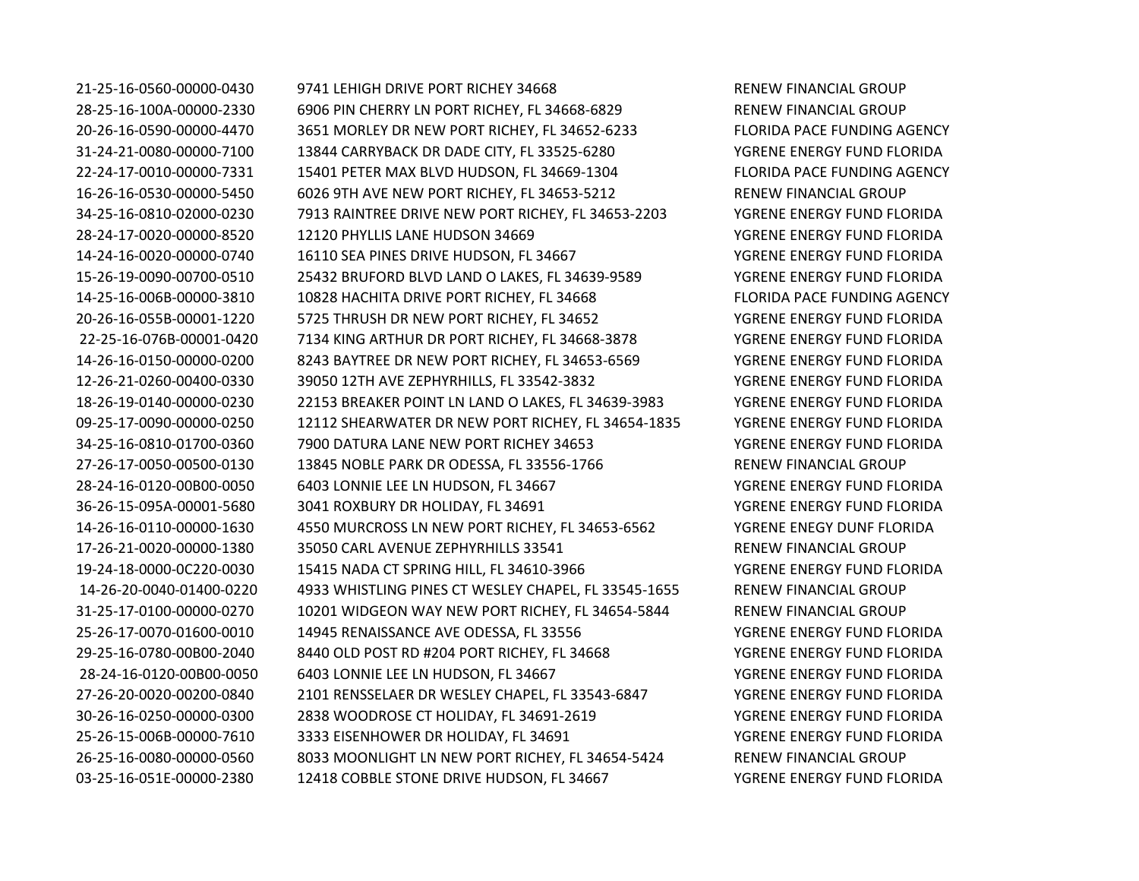21-25-16-0560-00000-0430 9741 LEHIGH DRIVE PORT RICHEY 34668 RENEW FINANCIAL GROUP 28-25-16-100A-00000-2330 6906 PIN CHERRY LN PORT RICHEY, FL 34668-6829 RENEW FINANCIAL GROUP 20-26-16-0590-00000-4470 3651 MORLEY DR NEW PORT RICHEY, FL 34652-6233 FLORIDA PACE FUNDING AGENCY 31-24-21-0080-00000-7100 13844 CARRYBACK DR DADE CITY, FL 33525-6280 YGRENE ENERGY FUND FLORIDA 22-24-17-0010-00000-7331 15401 PETER MAX BLVD HUDSON, FL 34669-1304 FLORIDA PACE FUNDING AGENCY 16-26-16-0530-00000-5450 6026 9TH AVE NEW PORT RICHEY, FL 34653-5212 RENEW FINANCIAL GROUP 34-25-16-0810-02000-0230 7913 RAINTREE DRIVE NEW PORT RICHEY, FL 34653-2203 YGRENE ENERGY FUND FLORIDA 28-24-17-0020-00000-8520 12120 PHYLLIS LANE HUDSON 34669 YGRENE ENERGY FUND FLORIDA 14-24-16-0020-00000-0740 16110 SEA PINES DRIVE HUDSON, FL 34667 YGRENE ENERGY FUND FLORIDA 15-26-19-0090-00700-0510 25432 BRUFORD BLVD LAND O LAKES, FL 34639-9589 YGRENE ENERGY FUND FLORIDA 14-25-16-006B-00000-3810 10828 HACHITA DRIVE PORT RICHEY, FL 34668 FLORIDA PACE FUNDING AGENCY 20-26-16-055B-00001-1220 5725 THRUSH DR NEW PORT RICHEY, FL 34652 YGRENE ENERGY FUND FLORIDA 22-25-16-076B-00001-0420 7134 KING ARTHUR DR PORT RICHEY, FL 34668-3878 YGRENE ENERGY FUND FLORIDA 14-26-16-0150-00000-0200 8243 BAYTREE DR NEW PORT RICHEY, FL 34653-6569 YGRENE ENERGY FUND FLORIDA 12-26-21-0260-00400-0330 39050 12TH AVE ZEPHYRHILLS, FL 33542-3832 YGRENE ENERGY FUND FLORIDA 18-26-19-0140-00000-0230 22153 BREAKER POINT LN LAND O LAKES, FL 34639-3983 YGRENE ENERGY FUND FLORIDA 09-25-17-0090-00000-0250 12112 SHEARWATER DR NEW PORT RICHEY, FL 34654-1835 YGRENE ENERGY FUND FLORIDA 34-25-16-0810-01700-0360 7900 DATURA LANE NEW PORT RICHEY 34653 YGRENE ENERGY FUND FLORIDA 27-26-17-0050-00500-0130 13845 NOBLE PARK DR ODESSA, FL 33556-1766 RENEW FINANCIAL GROUP 28-24-16-0120-00B00-0050 6403 LONNIE LEE LN HUDSON, FL 34667 YGRENE ENERGY FUND FLORIDA 36-26-15-095A-00001-5680 3041 ROXBURY DR HOLIDAY, FL 34691 YGRENE ENERGY FUND FLORIDA 14-26-16-0110-00000-1630 4550 MURCROSS LN NEW PORT RICHEY, FL 34653-6562 YGRENE ENEGY DUNF FLORIDA 17-26-21-0020-00000-1380 35050 CARL AVENUE ZEPHYRHILLS 33541 RENEW FINANCIAL GROUP 19-24-18-0000-0C220-0030 15415 NADA CT SPRING HILL, FL 34610-3966 YGRENE ENERGY FUND FLORIDA 14-26-20-0040-01400-0220 4933 WHISTLING PINES CT WESLEY CHAPEL, FL 33545-1655 RENEW FINANCIAL GROUP 31-25-17-0100-00000-0270 10201 WIDGEON WAY NEW PORT RICHEY, FL 34654-5844 RENEW FINANCIAL GROUP 25-26-17-0070-01600-0010 14945 RENAISSANCE AVE ODESSA, FL 33556 YGRENE ENERGY FUND FLORIDA 29-25-16-0780-00B00-2040 8440 OLD POST RD #204 PORT RICHEY, FL 34668 YGRENE ENERGY FUND FLORIDA 28-24-16-0120-00B00-0050 6403 LONNIE LEE LN HUDSON, FL 34667 YGRENE ENERGY FUND FLORIDA 27-26-20-0020-00200-0840 2101 RENSSELAER DR WESLEY CHAPEL, FL 33543-6847 YGRENE ENERGY FUND FLORIDA 30-26-16-0250-00000-0300 2838 WOODROSE CT HOLIDAY, FL 34691-2619 YGRENE ENERGY FUND FLORIDA 25-26-15-006B-00000-7610 3333 EISENHOWER DR HOLIDAY, FL 34691 YGRENE ENERGY FUND FLORIDA 26-25-16-0080-00000-0560 8033 MOONLIGHT LN NEW PORT RICHEY, FL 34654-5424 RENEW FINANCIAL GROUP 03-25-16-051E-00000-2380 12418 COBBLE STONE DRIVE HUDSON, FL 34667 YGRENE ENERGY FUND FLORIDA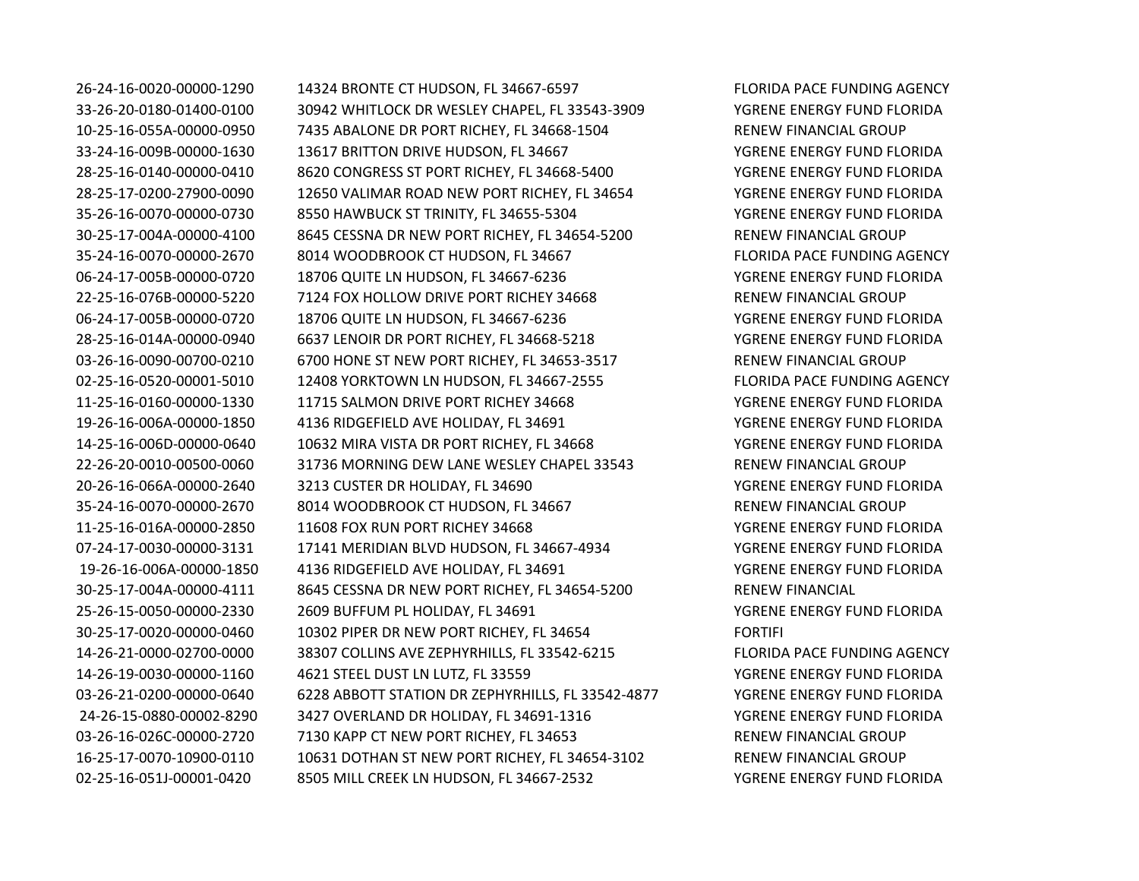26-24-16-0020-00000-1290 14324 BRONTE CT HUDSON, FL 34667-6597 FLORIDA PACE FUNDING AGENCY 33-26-20-0180-01400-0100 30942 WHITLOCK DR WESLEY CHAPEL, FL 33543-3909 YGRENE ENERGY FUND FLORIDA 10-25-16-055A-00000-0950 7435 ABALONE DR PORT RICHEY, FL 34668-1504 RENEW FINANCIAL GROUP 33-24-16-009B-00000-1630 13617 BRITTON DRIVE HUDSON, FL 34667 YGRENE ENERGY FUND FLORIDA 28-25-16-0140-00000-0410 8620 CONGRESS ST PORT RICHEY, FL 34668-5400 YGRENE ENERGY FUND FLORIDA 28-25-17-0200-27900-0090 12650 VALIMAR ROAD NEW PORT RICHEY, FL 34654 YGRENE ENERGY FUND FLORIDA 35-26-16-0070-00000-0730 8550 HAWBUCK ST TRINITY, FL 34655-5304 YGRENE ENERGY FUND FLORIDA 30-25-17-004A-00000-4100 8645 CESSNA DR NEW PORT RICHEY, FL 34654-5200 RENEW FINANCIAL GROUP 35-24-16-0070-00000-2670 8014 WOODBROOK CT HUDSON, FL 34667 FLORIDA PACE FUNDING AGENCY 06-24-17-005B-00000-0720 18706 QUITE LN HUDSON, FL 34667-6236 YGRENE ENERGY FUND FLORIDA 22-25-16-076B-00000-5220 7124 FOX HOLLOW DRIVE PORT RICHEY 34668 RENEW FINANCIAL GROUP 06-24-17-005B-00000-0720 18706 QUITE LN HUDSON, FL 34667-6236 YGRENE ENERGY FUND FLORIDA 28-25-16-014A-00000-0940 6637 LENOIR DR PORT RICHEY, FL 34668-5218 YGRENE ENERGY FUND FLORIDA 03-26-16-0090-00700-0210 6700 HONE ST NEW PORT RICHEY, FL 34653-3517 RENEW FINANCIAL GROUP 02-25-16-0520-00001-5010 12408 YORKTOWN LN HUDSON, FL 34667-2555 FLORIDA PACE FUNDING AGENCY 11-25-16-0160-00000-1330 11715 SALMON DRIVE PORT RICHEY 34668 YGRENE ENERGY FUND FLORIDA 19-26-16-006A-00000-1850 4136 RIDGEFIELD AVE HOLIDAY, FL 34691 YGRENE ENERGY FUND FLORIDA 14-25-16-006D-00000-0640 10632 MIRA VISTA DR PORT RICHEY, FL 34668 YGRENE ENERGY FUND FLORIDA 22-26-20-0010-00500-0060 31736 MORNING DEW LANE WESLEY CHAPEL 33543 RENEW FINANCIAL GROUP 20-26-16-066A-00000-2640 3213 CUSTER DR HOLIDAY, FL 34690 YGRENE ENERGY FUND FLORIDA 35-24-16-0070-00000-2670 8014 WOODBROOK CT HUDSON, FL 34667 RENEW FINANCIAL GROUP 11-25-16-016A-00000-2850 11608 FOX RUN PORT RICHEY 34668 YGRENE ENERGY FUND FLORIDA 07-24-17-0030-00000-3131 17141 MERIDIAN BLVD HUDSON, FL 34667-4934 YGRENE ENERGY FUND FLORIDA 19-26-16-006A-00000-1850 4136 RIDGEFIELD AVE HOLIDAY, FL 34691 YGRENE ENERGY FUND FLORIDA 30-25-17-004A-00000-4111 8645 CESSNA DR NEW PORT RICHEY, FL 34654-5200 RENEW FINANCIAL 25-26-15-0050-00000-2330 2609 BUFFUM PL HOLIDAY, FL 34691 YGRENE ENERGY FUND FLORIDA 30-25-17-0020-00000-0460 10302 PIPER DR NEW PORT RICHEY, FL 34654 FORTIFI 14-26-21-0000-02700-0000 38307 COLLINS AVE ZEPHYRHILLS, FL 33542-6215 FLORIDA PACE FUNDING AGENCY 14-26-19-0030-00000-1160 4621 STEEL DUST LN LUTZ, FL 33559 YGRENE ENERGY FUND FLORIDA 03-26-21-0200-00000-0640 6228 ABBOTT STATION DR ZEPHYRHILLS, FL 33542-4877 YGRENE ENERGY FUND FLORIDA 24-26-15-0880-00002-8290 3427 OVERLAND DR HOLIDAY, FL 34691-1316 YGRENE ENERGY FUND FLORIDA 03-26-16-026C-00000-2720 7130 KAPP CT NEW PORT RICHEY, FL 34653 RENEW FINANCIAL GROUP 16-25-17-0070-10900-0110 10631 DOTHAN ST NEW PORT RICHEY, FL 34654-3102 RENEW FINANCIAL GROUP 02-25-16-051J-00001-0420 8505 MILL CREEK LN HUDSON, FL 34667-2532 YGRENE ENERGY FUND FLORIDA